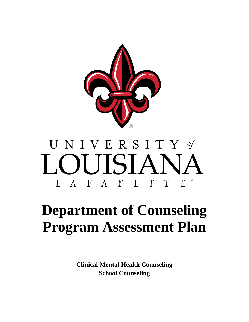

# UNIVERSITY of LOUISIANA L A F A Y E T T E

# **Department of Counseling Program Assessment Plan**

**Clinical Mental Health Counseling School Counseling**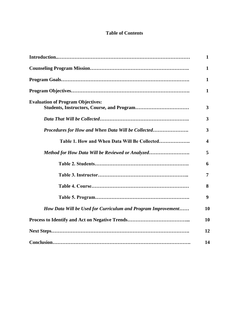# **Table of Contents**

|                                                              | 1            |
|--------------------------------------------------------------|--------------|
|                                                              | 1            |
|                                                              | 1            |
|                                                              | $\mathbf{1}$ |
| <b>Evaluation of Program Objectives:</b>                     | 3            |
|                                                              | 3            |
| Procedures for How and When Data Will be Collected           | 3            |
| Table 1. How and When Data Will Be Collected                 | 4            |
| Method for How Data Will be Reviewed or Analyzed             | 5            |
|                                                              | 6            |
|                                                              | 7            |
|                                                              | 8            |
|                                                              | 9            |
| How Data Will be Used for Curriculum and Program Improvement | 10           |
|                                                              | 10           |
|                                                              | 12           |
|                                                              | 14           |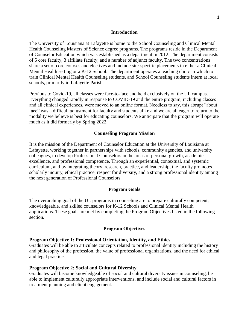#### **Introduction**

The University of Louisiana at Lafayette is home to the School Counseling and Clinical Mental Health Counseling Masters of Science degree programs. The programs reside in the Department of Counselor Education which was established as a department in 2012. The department consists of 5 core faculty, 3 affiliate faculty, and a number of adjunct faculty. The two concentrations share a set of core courses and electives and include site-specific placements in either a Clinical Mental Health setting or a K-12 School. The department operates a teaching clinic in which to train Clinical Mental Health Counseling students, and School Counseling students intern at local schools, primarily in Lafayette Parish.

Previous to Covid-19, all classes were face-to-face and held exclusively on the UL campus. Everything changed rapidly in response to COVID-19 and the entire program, including classes and all clinical experiences, were moved to an online format. Needless to say, this abrupt "about face" was a difficult adjustment for faculty and students alike and we are all eager to return to the modality we believe is best for educating counselors. We anticipate that the program will operate much as it did formerly by Spring 2022.

#### **Counseling Program Mission**

It is the mission of the Department of Counselor Education at the University of Louisiana at Lafayette, working together in partnerships with schools, community agencies, and university colleagues, to develop Professional Counselors in the areas of personal growth, academic excellence, and professional competence. Through an experiential, contextual, and systemic curriculum, and by integrating theory, research, practice, and leadership, the faculty promotes scholarly inquiry, ethical practice, respect for diversity, and a strong professional identity among the next generation of Professional Counselors.

#### **Program Goals**

The overarching goal of the UL programs in counseling are to prepare culturally competent, knowledgeable, and skilled counselors for K-12 Schools and Clinical Mental Health applications. These goals are met by completing the Program Objectives listed in the following section.

#### **Program Objectives**

#### **Program Objective 1: Professional Orientation, Identity, and Ethics**

Graduates will be able to articulate concepts related to professional identity including the history and philosophy of the profession, the value of professional organizations, and the need for ethical and legal practice.

#### **Program Objective 2: Social and Cultural Diversity**

Graduates will become knowledgeable of social and cultural diversity issues in counseling, be able to implement culturally appropriate interventions, and include social and cultural factors in treatment planning and client engagement.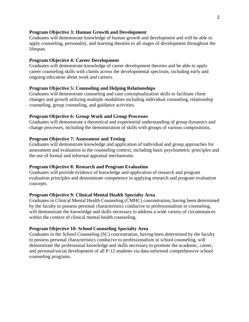#### **Program Objective 3: Human Growth and Development**

Graduates will demonstrate knowledge of human growth and development and will be able to apply counseling, personality, and learning theories to all stages of development throughout the lifespan.

#### **Program Objective 4: Career Development**

Graduates will demonstrate knowledge of career development theories and be able to apply career counseling skills with clients across the developmental spectrum, including early and ongoing education about work and careers.

#### **Program Objective 5: Counseling and Helping Relationships**

Graduates will demonstrate counseling and case conceptualization skills to facilitate client changes and growth utilizing multiple modalities including individual counseling, relationship counseling, group counseling, and guidance activities.

#### **Program Objective 6: Group Work and Group Processes**

Graduates will demonstrate a theoretical and experiential understanding of group dynamics and change processes, including the demonstration of skills with groups of various compositions.

#### **Program Objective 7: Assessment and Testing**

Graduates will demonstrate knowledge and application of individual and group approaches for assessment and evaluation in the counseling context, including basic psychometric principles and the use of formal and informal appraisal mechanisms.

#### **Program Objective 8: Research and Program Evaluation**

Graduates will provide evidence of knowledge and application of research and program evaluation principles and demonstrate competence in applying research and program evaluation concepts.

#### **Program Objective 9: Clinical Mental Health Specialty Area**

Graduates in Clinical Mental Health Counseling (CMHC) concentration, having been determined by the faculty to possess personal characteristics conducive to professionalism in counseling, will demonstrate the knowledge and skills necessary to address a wide variety of circumstances within the context of clinical mental health counseling.

#### **Program Objective 10: School Counseling Specialty Area**

Graduates in the School Counseling (SC) concentration, having been determined by the faculty to possess personal characteristics conducive to professionalism in school counseling, will demonstrate the professional knowledge and skills necessary to promote the academic, career, and personal/social development of all P-12 students via data-informed comprehensive school counseling programs.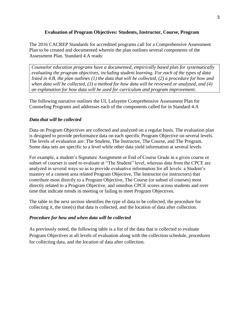# **Evaluation of Program Objectives: Students, Instructor, Course, Program**

The 2016 CACREP Standards for accredited programs call for a Comprehensive Assessment Plan to be created and documented wherein the plan outlines several components of the Assessment Plan. Standard 4.A reads:

*Counselor education programs have a documented, empirically based plan for systematically evaluating the program objectives, including student learning. For each of the types of data listed in 4.B, the plan outlines (1) the data that will be collected, (2) a procedure for how and when data will be collected, (3) a method for how data will be reviewed or analyzed, and (4) an explanation for how data will be used for curriculum and program improvement.*

The following narrative outlines the UL Lafayette Comprehensive Assessment Plan for Counseling Programs and addresses each of the components called for in Standard 4.A

# *Data that will be collected*

Data on Program Objectives are collected and analyzed on a regular basis. The evaluation plan is designed to provide performance data on each specific Program Objective on several levels. The levels of evaluation are: The Student, The Instructor, The Course, and The Program. Some data sets are specific to a level while other data yield information at several levels.

For example, a student's Signature Assignment or End of Course Grade in a given course or subset of courses is used to evaluate at "The Student" level, whereas data from the CPCE are analyzed in several ways so as to provide evaluative information for all levels: a Student's mastery of a content area related Program Objective, The Instructor (or instructors) that contribute most directly to a Program Objective, The Course (or subset of courses) most directly related to a Program Objective, and omnibus CPCE scores across students and over time that indicate trends in meeting or failing to meet Program Objectives.

The table in the next section identifies the type of data to be collected, the procedure for collecting it, the time(s) that data is collected, and the location of data after collection.

# *Procedure for how and when data will be collected*

As previously noted, the following table is a list of the data that is collected to evaluate Program Objectives at all levels of evaluation along with the collection schedule, procedures for collecting data, and the location of data after collection.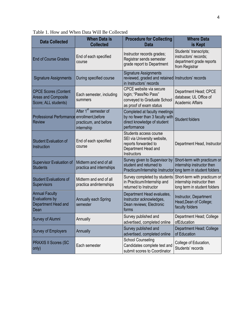| <b>Data Collected</b>                                                      | <b>When Data is</b><br><b>Collected</b>                                  | <b>Procedure for Collecting</b><br><b>Data</b>                                                                      | <b>Where Data</b><br>is Kept                                                                  |
|----------------------------------------------------------------------------|--------------------------------------------------------------------------|---------------------------------------------------------------------------------------------------------------------|-----------------------------------------------------------------------------------------------|
| <b>End of Course Grades</b>                                                | End of each specified<br>course                                          | Instructor records grades;<br>Registrar sends semester<br>grade report to Department                                | Students' transcripts;<br>instructors' records;<br>department grade reports<br>from Registrar |
| <b>Signature Assignments</b>                                               | During specified course                                                  | <b>Signature Assignments</b><br>reviewed, graded and retained Instructors' records<br>in Instructors' records       |                                                                                               |
| <b>CPCE Scores (Content</b><br>Areas and Composite<br>Score; ALL students) | Each semester, including<br>summers                                      | CPCE website via secure<br>login; "Pass/No Pass"<br>conveyed to Graduate School<br>as proof of exam status          | Department Head; CPCE<br>database; UL Office of<br><b>Academic Affairs</b>                    |
| Professional Performance enrollment, before<br><b>Review</b>               | After 1 <sup>st</sup> semester of<br>practicum, and before<br>internship | Completed at faculty meetings<br>by no fewer than 3 faculty with<br>direct knowledge of student<br>performance      | <b>Student folders</b>                                                                        |
| <b>Student Evaluation of</b><br>Instruction                                | End of each specified<br>course                                          | Students access course<br>SEI via University website,<br>reports forwarded to<br>Department Head and<br>Instructors | Department Head, Instructor                                                                   |
| Supervisor Evaluation of<br><b>Students</b>                                | Midterm and end of all<br>practica and internships                       | Survey given to Supervisor by<br>student and returned to<br>Practicum/Internship Instructor                         | Short-term with practicum or<br>internship instructor then<br>long term in student folders    |
| <b>Student Evaluations of</b><br>Supervisors                               | Midterm and end of all<br>practica andinternships                        | Survey completed by students<br>in Practicum/Internship and<br>returned to Instructor                               | Short-term with practicum or<br>internship instructor then<br>long term in student folders    |
| <b>Annual Faculty</b><br>Evaluations by<br>Department Head and<br>Dean     | <b>Annually each Spring</b><br>semester                                  | Department Head evaluates,<br>Instructor acknowledges,<br>Dean reviews; Electronic<br>forms                         | Instructor, Department<br>Head, Dean of College;<br>faculty folders                           |
| Survey of Alumni                                                           | Annually                                                                 | Survey published and<br>advertised, completed online                                                                | Department Head; College<br>ofEducation                                                       |
| <b>Survey of Employers</b>                                                 | Annually                                                                 | Survey published and<br>advertised, completed online                                                                | Department Head; College<br>of Education                                                      |
| <b>PRAXIS II Scores (SC</b><br>only)                                       | Each semester                                                            | <b>School Counseling</b><br>Candidates complete test and<br>submit scores to Coordinator                            | College of Education,<br>Students' records                                                    |

Table 1. How and When Data Will Be Collected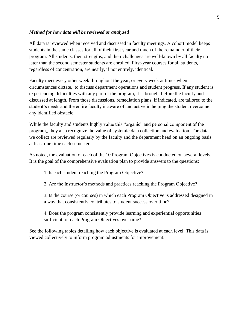#### *Method for how data will be reviewed or analyzed*

All data is reviewed when received and discussed in faculty meetings. A cohort model keeps students in the same classes for all of their first year and much of the remainder of their program. All students, their strengths, and their challenges are well-known by all faculty no later than the second semester students are enrolled. First-year courses for all students, regardless of concentration, are nearly, if not entirely, identical.

Faculty meet every other week throughout the year, or every week at times when circumstances dictate, to discuss department operations and student progress. If any student is experiencing difficulties with any part of the program, it is brought before the faculty and discussed at length. From those discussions, remediation plans, if indicated, are tailored to the student's needs and the entire faculty is aware of and active in helping the student overcome any identified obstacle.

While the faculty and students highly value this "organic" and personal component of the program,, they also recognize the value of systemic data collection and evaluation. The data we collect are reviewed regularly by the faculty and the department head on an ongoing basis at least one time each semester.

As noted, the evaluation of each of the 10 Program Objectives is conducted on several levels. It is the goal of the comprehensive evaluation plan to provide answers to the questions:

1. Is each student reaching the Program Objective?

2. Are the Instructor's methods and practices reaching the Program Objective?

3. Is the course (or courses) in which each Program Objective is addressed designed in a way that consistently contributes to student success over time?

4. Does the program consistently provide learning and experiential opportunities sufficient to reach Program Objectives over time?

See the following tables detailing how each objective is evaluated at each level. This data is viewed collectively to inform program adjustments for improvement.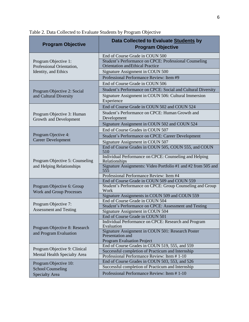| <b>Program Objective</b>                                                   | Data Collected to Evaluate Students by<br><b>Program Objective</b>                                  |
|----------------------------------------------------------------------------|-----------------------------------------------------------------------------------------------------|
|                                                                            | End of Course Grade in COUN 500                                                                     |
| Program Objective 1:<br>Professional Orientation,                          | Student's Performance on CPCE: Professional Counseling<br><b>Orientation and Ethical Practice</b>   |
| Identity, and Ethics                                                       | Signature Assignment in COUN 500                                                                    |
|                                                                            | Professional Performance Review: Item #9                                                            |
|                                                                            | End of Course Grade in COUN 506                                                                     |
| Program Objective 2: Social                                                | Student's Performance on CPCE: Social and Cultural Diversity                                        |
| and Cultural Diversity                                                     | Signature Assignment in COUN 506: Cultural Immersion<br>Experience                                  |
|                                                                            | End of Course Grade in COUN 502 and COUN 524                                                        |
| Program Objective 3: Human<br>Growth and Development                       | Student's Performance on CPCE: Human Growth and<br>Development                                      |
|                                                                            | Signature Assignment in COUN 502 and COUN 524                                                       |
|                                                                            | End of Course Grades in COUN 507                                                                    |
| Program Ojective 4:<br><b>Career Development</b>                           | <b>Student's Performance on CPCE: Career Development</b>                                            |
|                                                                            | Signature Assignment in COUN 507                                                                    |
| Program Objective 5: Counseling<br>and Helping Relationships               | End of Course Grades in COUN 505, COUN 555, and COUN<br>510                                         |
|                                                                            | Individual Performance on CPCE: Counseling and Helping<br>Relationships                             |
|                                                                            | Signature Assignments: Video Portfolio #1 and #2 from 505 and<br>555                                |
|                                                                            | Professional Performance Review: Item #4                                                            |
|                                                                            | End of Course Grade in COUN 509 and COUN 559                                                        |
| Program Objective 6: Group<br><b>Work and Group Processes</b>              | Student's Performance on CPCE: Group Counseling and Group<br>Work                                   |
|                                                                            | Signature Assignments in COUN 509 and COUN 559                                                      |
|                                                                            | End of Course Grade in COUN 504                                                                     |
| Program Objective 7:<br><b>Assessment and Testing</b>                      | Student's Performance on CPCE: Assessment and Testing                                               |
|                                                                            | Signature Assignment in COUN 504                                                                    |
| Program Objective 8: Research<br>and Program Evaluation                    | End of Course Grade in COUN 501                                                                     |
|                                                                            | Individual Performance on CPCE: Research and Program<br>Evaluation                                  |
|                                                                            | Signature Assignment in COUN 501: Research Poster                                                   |
|                                                                            | Presentation and                                                                                    |
|                                                                            | <b>Program Evaluation Project</b>                                                                   |
| Program Objective 9: Clinical<br>Mental Health Specialty Area              | End of Course Grades in COUN 519, 555, and 559                                                      |
|                                                                            | Successful completion of Practicum and Internship                                                   |
|                                                                            | Professional Performance Review: Item #1-10                                                         |
| Program Objective 10:<br><b>School Counseling</b><br><b>Specialty Area</b> | End of Course Grades in COUN 503, 553, and 526<br>Successful completion of Practicum and Internship |
|                                                                            |                                                                                                     |
|                                                                            | Professional Performance Review: Item #1-10                                                         |

Table 2. Data Collected to Evaluate Students by Program Objective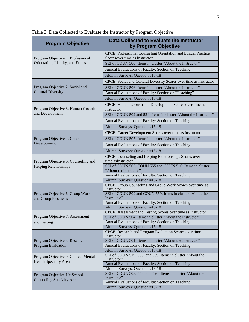| <b>Program Objective</b>                                             | Data Collected to Evaluate the Instructor<br>by Program Objective                                              |
|----------------------------------------------------------------------|----------------------------------------------------------------------------------------------------------------|
| Program Objective 1: Professional                                    | CPCE: Professional Counseling Orientation and Ethical Practice<br>Scoresover time as Instructor                |
| Orientation, Identity, and Ethics                                    | SEI of COUN 500: Items in cluster "About the Instructor"                                                       |
|                                                                      | Annual Evaluations of Faculty: Section on Teaching                                                             |
|                                                                      | Alumni Surveys: Question #15-18                                                                                |
|                                                                      | CPCE: Social and Cultural Diversity Scores over time as Instructor                                             |
| Program Objective 2: Social and                                      | SEI of COUN 506: Items in cluster "About the Instructor"                                                       |
| <b>Cultural Diversity</b>                                            | Annual Evaluations of Faculty: Section on "Teaching"                                                           |
|                                                                      | Alumni Surveys: Question #15-18                                                                                |
| Program Objective 3: Human Growth                                    | CPCE: Human Growth and Development Scores over time as<br>Instructor                                           |
| and Development                                                      | SEI of COUN 502 and 524: Items in cluster "About the Instructor"                                               |
|                                                                      | Annual Evaluations of Faculty: Section on Teaching                                                             |
|                                                                      | Alumni Surveys: Question #15-18                                                                                |
|                                                                      | CPCE: Career Development Scores over time as Instructor                                                        |
| Program Objective 4: Career                                          | SEI of COUN 507: Items in cluster "About the Instructor"                                                       |
| Development                                                          | Annual Evaluations of Faculty: Section on Teaching                                                             |
|                                                                      | Alumni Surveys: Question #15-18                                                                                |
|                                                                      | CPCE: Counseling and Helping Relationships Scores over                                                         |
| Program Objective 5: Counseling and                                  | time asInstructor                                                                                              |
| <b>Helping Relationships</b>                                         | SEI of COUN 505, COUN 555 and COUN 510: Items in cluster                                                       |
|                                                                      | "About the Instructor"<br>Annual Evaluations of Faculty: Section on Teaching                                   |
|                                                                      | Alumni Surveys: Question #15-18                                                                                |
|                                                                      | CPCE: Group Counseling and Group Work Scores over time as                                                      |
|                                                                      | Instructor<br>SEI of COUN 509 and COUN 559: Items in cluster "About the                                        |
| Program Objective 6: Group Work<br>and Group Processes               | Instructor"                                                                                                    |
|                                                                      | Annual Evaluations of Faculty: Section on Teaching                                                             |
|                                                                      | Alumni Surveys: Question #15-18                                                                                |
| Program Objective 7: Assessment                                      | CPCE: Assessment and Testing Scores over time as Instructor                                                    |
|                                                                      | SEI of COUN 504: Items in cluster "About the Instructor"<br>Annual Evaluations of Faculty: Section on Teaching |
| and Testing                                                          | Alumni Surveys: Question #15-18                                                                                |
|                                                                      | CPCE: Research and Program Evaluation Scores over time as                                                      |
|                                                                      | Instructor                                                                                                     |
| Program Objective 8: Research and<br><b>Program Evaluation</b>       | SEI of COUN 501: Items in cluster "About the Instructor"                                                       |
|                                                                      | Annual Evaluations of Faculty: Section on Teaching<br>Alumni Surveys: Question #15-18                          |
| Program Objective 9: Clinical Mental<br><b>Health Specialty Area</b> | SEI of COUN 519, 555, and 559: Items in cluster "About the                                                     |
|                                                                      | Instructor"                                                                                                    |
|                                                                      | Annual Evaluations of Faculty: Section on Teaching                                                             |
| Program Objective 10: School<br><b>Counseling Specialty Area</b>     | Alumni Surveys: Question #15-18                                                                                |
|                                                                      | SEI of COUN 503, 553, and 526: Items in cluster "About the<br>Instructor"                                      |
|                                                                      | Annual Evaluations of Faculty: Section on Teaching                                                             |
|                                                                      | Alumni Surveys: Question #15-18                                                                                |

Table 3. Data Collected to Evaluate the Instructor by Program Objective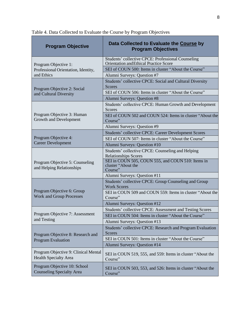| <b>Program Objective</b>                                             | Data Collected to Evaluate the Course by<br><b>Program Objectives</b>                        |
|----------------------------------------------------------------------|----------------------------------------------------------------------------------------------|
| Program Objective 1:                                                 | Students' collective CPCE: Professional Counseling<br>Orientation and Ethical Practice Score |
| Professional Orientation, Identity,                                  | SEI of COUN 500: Items in cluster "About the Course"                                         |
| and Ethics                                                           | Alumni Surveys: Question #7                                                                  |
| Program Objective 2: Social                                          | Students' collective CPCE: Social and Cultural Diversity<br><b>Scores</b>                    |
| and Cultural Diversity                                               | SEI of COUN 506: Items in cluster "About the Course"                                         |
|                                                                      | Alumni Surveys: Question #8                                                                  |
| Program Objective 3: Human<br>Growth and Development                 | Students' collective CPCE: Human Growth and Development<br>Scores                            |
|                                                                      | SEI of COUN 502 and COUN 524: Items in cluster "About the<br>Course"                         |
|                                                                      | Alumni Surveys: Question #9                                                                  |
|                                                                      | Students' collective CPCE: Career Development Scores                                         |
| Program Objective 4:<br><b>Career Development</b>                    | SEI of COUN 507: Items in cluster "About the Course"                                         |
|                                                                      | Alumni Surveys: Question #10                                                                 |
| Program Objective 5: Counseling<br>and Helping Relationships         | Students' collective CPCE: Counseling and Helping<br><b>Relationships Scores</b>             |
|                                                                      | SEI in COUN 505, COUN 555, and COUN 510: Items in<br>cluster "About the<br>Course"           |
|                                                                      | Alumni Surveys: Question #11                                                                 |
| Program Objective 6: Group<br><b>Work and Group Processes</b>        | Students' collective CPCE: Group Counseling and Group<br><b>Work Scores</b>                  |
|                                                                      | SEI in COUN 509 and COUN 559: Items in cluster "About the<br>Course"                         |
|                                                                      | Alumni Surveys: Question #12                                                                 |
|                                                                      | Students' collective CPCE: Assessment and Testing Scores                                     |
| Program Objective 7: Assessment<br>and Testing                       | SEI in COUN 504: Items in cluster "About the Course"                                         |
|                                                                      | Alumni Surveys: Question #13                                                                 |
| Program Objective 8: Research and<br><b>Program Evaluation</b>       | Students' collective CPCE: Research and Program Evaluation<br><b>Scores</b>                  |
|                                                                      | SEI in COUN 501: Items in cluster "About the Course"                                         |
|                                                                      | Alumni Surveys: Question #14                                                                 |
| Program Objective 9: Clinical Mental<br><b>Health Specialty Area</b> | SEI in COUN 519, 555, and 559: Items in cluster "About the<br>Course"                        |
| Program Objective 10: School<br><b>Counseling Specialty Area</b>     | SEI in COUN 503, 553, and 526: Items in cluster "About the<br>Course"                        |

Table 4. Data Collected to Evaluate the Course by Program Objectives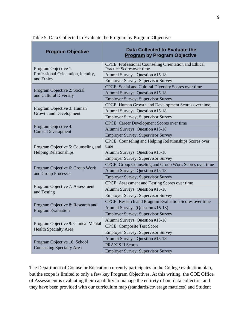| <b>Program Objective</b>                                             | <b>Data Collected to Evaluate the</b><br><b>Program by Program Objective</b>             |
|----------------------------------------------------------------------|------------------------------------------------------------------------------------------|
| Program Objective 1:                                                 | <b>CPCE: Professional Counseling Orientation and Ethical</b><br>Practice Scoresover time |
| Professional Orientation, Identity,                                  | Alumni Surveys: Question #15-18                                                          |
| and Ethics                                                           | <b>Employer Survey; Supervisor Survey</b>                                                |
|                                                                      | CPCE: Social and Cultural Diversity Scores over time                                     |
| Program Objective 2: Social<br>and Cultural Diversity                | Alumni Surveys: Question #15-18                                                          |
|                                                                      | <b>Employer Survey; Supervisor Survey</b>                                                |
|                                                                      | CPCE: Human Growth and Development Scores over time,                                     |
| Program Objective 3: Human<br><b>Growth and Development</b>          | Alumni Surveys: Question #15-18                                                          |
|                                                                      | <b>Employer Survey; Supervisor Survey</b>                                                |
| Program Objective 4:                                                 | <b>CPCE: Career Development Scores over time</b>                                         |
| <b>Career Development</b>                                            | Alumni Surveys: Question #15-18                                                          |
|                                                                      | <b>Employer Survey; Supervisor Survey</b>                                                |
| Program Objective 5: Counseling and                                  | CPCE: Counseling and Helping Relationships Scores over<br>time                           |
| <b>Helping Relationships</b>                                         | Alumni Surveys: Question #15-18                                                          |
|                                                                      | <b>Employer Survey; Supervisor Survey</b>                                                |
| Program Objective 6: Group Work<br>and Group Processes               | CPCE: Group Counseling and Group Work Scores over time                                   |
|                                                                      | Alumni Surveys: Question #15-18                                                          |
|                                                                      | <b>Employer Survey; Supervisor Survey</b>                                                |
|                                                                      | CPCE: Assessment and Testing Scores over time                                            |
| Program Objective 7: Assessment<br>and Testing                       | Alumni Surveys: Question #15-18                                                          |
|                                                                      | <b>Employer Survey; Supervisor Survey</b>                                                |
|                                                                      | CPCE: Research and Program Evaluation Scores over time                                   |
| Program Objective 8: Research and                                    | Alumni Surveys (Question #15-18)                                                         |
| Program Evaluation                                                   | <b>Employer Survey; Supervisor Survey</b>                                                |
|                                                                      | Alumni Surveys: Question #15-18                                                          |
| Program Objective 9: Clinical Mental<br><b>Health Specialty Area</b> | <b>CPCE: Composite Test Score</b>                                                        |
|                                                                      | <b>Employer Survey; Supervisor Survey</b>                                                |
| Program Objective 10: School<br><b>Counseling Specialty Area</b>     | Alumni Surveys: Question #15-18                                                          |
|                                                                      | <b>PRAXIS II Scores</b>                                                                  |
|                                                                      | <b>Employer Survey; Supervisor Survey</b>                                                |

Table 5. Data Collected to Evaluate the Program by Program Objective

The Department of Counselor Education currently participates in the College evaluation plan, but the scope is limited to only a few key Program Objectives. At this writing, the COE Office of Assessment is evaluating their capability to manage the entirety of our data collection and they have been provided with our curriculum map (standards/coverage matrices) and Student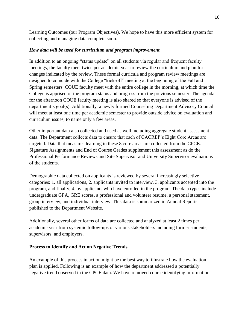Learning Outcomes (our Program Objectives). We hope to have this more efficient system for collecting and managing data complete soon.

# *How data will be used for curriculum and program improvement*

In addition to an ongoing "status update" on all students via regular and frequent faculty meetings, the faculty meet twice per academic year to review the curriculum and plan for changes indicated by the review. These formal curricula and program review meetings are designed to coincide with the College "kick-off" meeting at the beginning of the Fall and Spring semesters. COUE faculty meet with the entire college in the morning, at which time the College is apprised of the program status and progress from the previous semester. The agenda for the afternoon COUE faculty meeting is also shared so that everyone is advised of the department's goal(s). Additionally, a newly formed Counseling Department Advisory Council will meet at least one time per academic semester to provide outside advice on evaluation and curriculum issues, to name only a few areas.

Other important data also collected and used as well including aggregate student assessment data. The Department collects data to ensure that each of CACREP's Eight Core Areas are targeted. Data that measures learning in these 8 core areas are collected from the CPCE. Signature Assignments and End of Course Grades supplement this assessment as do the Professional Performance Reviews and Site Supervisor and University Supervisor evaluations of the students.

Demographic data collected on applicants is reviewed by several increasingly selective categories: 1. all applications, 2. applicants invited to interview, 3. applicants accepted into the program, and finally, 4. by applicants who have enrolled in the program. The data types include undergraduate GPA, GRE scores, a professional and volunteer resume, a personal statement, group interview, and individual interview. This data is summarized in Annual Reports published to the Department Website.

Additionally, several other forms of data are collected and analyzed at least 2 times per academic year from systemic follow-ups of various stakeholders including former students, supervisors, and employers.

# **Process to Identify and Act on Negative Trends**

An example of this process in action might be the best way to illustrate how the evaluation plan is applied. Following is an example of how the department addressed a potentially negative trend observed in the CPCE data. We have removed course identifying information.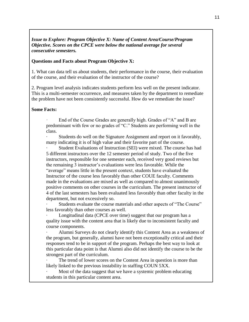# *Issue to Explore: Program Objective X: Name of Content Area/Course/Program Objective. Scores on the CPCE were below the national average for several consecutive semesters.*

#### **Questions and Facts about Program Objective X:**

1. What can data tell us about students, their performance in the course, their evaluation of the course, and their evaluation of the instructor of the course?

2. Program level analysis indicates students perform less well on the present indicator. This is a multi-semester occurrence, and measures taken by the department to remediate the problem have not been consistently successful. How do we remediate the issue?

#### **Some Facts:**

End of the Course Grades are generally high. Grades of "A" and B are predominant with few or no grades of "C." Students are performing well in the class.

Students do well on the Signature Assignment and report on it favorably, many indicating it is of high value and their favorite part of the course.

Student Evaluations of Instruction (SEI) were mixed. The course has had 5 different instructors over the 12 semester period of study. Two of the five instructors, responsible for one semester each, received very good reviews but the remaining 3 instructor's evaluations were less favorable. While the "average" means little in the present context, students have evaluated the Instructor of the course less favorably than other COUE faculty. Comments made in the evaluations are mixed as well as compared to almost unanimously positive comments on other courses in the curriculum. The present instructor of 4 of the last semesters has been evaluated less favorably than other faculty in the department, but not excessively so.

Students evaluate the course materials and other aspects of "The Course" less favorably than other courses as well.

Longitudinal data (CPCE over time) suggest that our program has a quality issue with the content area that is likely due to inconsistent faculty and course components.

Alumni Surveys do not clearly identify this Content Area as a weakness of the program, but generally, alumni have not been exceptionally critical and their responses tend to be in support of the program. Perhaps the best way to look at this particular data point is that Alumni also did not identify the course to be the strongest part of the curriculum.

The trend of lower scores on the Content Area in question is more than likely linked to the previous instability in staffing COUN 5XX.

Most of the data suggest that we have a systemic problem educating students in this particular content area.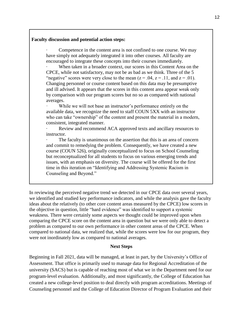#### **Faculty discussion and potential action steps:**

Competence in the content area is not confined to one course. We may have simply not adequately integrated it into other courses. All faculty are encouraged to integrate these concepts into their courses immediately.

When taken in a broader context, our scores in this Content Area on the CPCE, while not satisfactory, may not be as bad as we think. Three of the 5 "negative" scores were very close to the mean  $(z = .04, z = .11, z = .01)$ . Changing personnel or course content based on this data may be presumptive and ill advised. It appears that the scores in this content area appear weak only by comparison with our program scores but no so as compared with national averages.

While we will not base an instructor's performance entirely on the available data, we recognize the need to staff COUN 5XX with an instructor who can take "ownership" of the content and present the material in a modern, consistent, integrated manner.

Review and recommend ACA approved texts and ancillary resources to instructor.

The faculty is unanimous on the assertion that this is an area of concern and commit to remedying the problem. Consequently, we have created a new course (COUN 526), originally conceptualized to focus on School Counseling but reconceptualized for all students to focus on various emerging trends and issues, with an emphasis on diversity. The course will be offered for the first time in this iteration on "Identifying and Addressing Systemic Racism in Counseling and Beyond."

In reviewing the perceived negative trend we detected in our CPCE data over several years, we identified and studied key performance indicators, and while the analysis gave the faculty ideas about the relatively (to other core content areas measured by the CPCE) low scores in the objective in question, little "hard evidence" was identified to support a systemic weakness. There were certainly some aspects we thought could be improved upon when comparing the CPCE score on the content area in question but we were only able to detect a problem as compared to our own performance in other content areas of the CPCE. When compared to national data, we realized that, while the scores were low for our program, they were not inordinately low as compared to national averages.

#### **Next Steps**

Beginning in Fall 2021, data will be managed, at least in part, by the University's Office of Assessment. That office is primarily used to manage data for Regional Accreditation of the university (SACS) but is capable of reaching most of what we in the Department need for our program-level evaluation. Additionally, and most significantly, the College of Education has created a new college-level position to deal directly with program accreditations. Meetings of Counseling personnel and the College of Education Director of Program Evaluation and their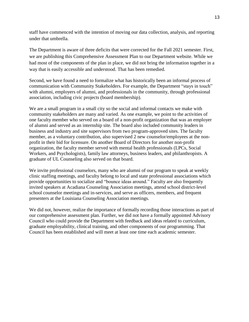staff have commenced with the intention of moving our data collection, analysis, and reporting under that umbrella.

The Department is aware of three deficits that were corrected for the Fall 2021 semester. First, we are publishing this Comprehensive Assessment Plan to our Department website. While we had most of the components of the plan in place, we did not bring the information together in a way that is easily accessible and understood. That has been remedied.

Second, we have found a need to formalize what has historically been an informal process of communication with Community Stakeholders. For example, the Department "stays in touch" with alumni, employers of alumni, and professionals in the community, through professional association, including civic projects (board membership).

We are a small program in a small city so the social and informal contacts we make with community stakeholders are many and varied. As one example, we point to the activities of one faculty member who served on a board of a non-profit organization that was an employer of alumni and served as an internship site. The board also included community leaders in business and industry and site supervisors from two program-approved sites. The faculty member, as a voluntary contribution, also supervised 2 new counselor/employees at the nonprofit in their bid for licensure. On another Board of Directors for another non-profit organization, the faculty member served with mental health professionals (LPCs, Social Workers, and Psychologists), family law attorneys, business leaders, and philanthropists. A graduate of UL Counseling also served on that board.

We invite professional counselors, many who are alumni of our program to speak at weekly clinic staffing meetings, and faculty belong to local and state professional associations which provide opportunities to socialize and "bounce ideas around." Faculty are also frequently invited speakers at Acadiana Counseling Association meetings, attend school district-level school counselor meetings and in-services, and serve as officers, members, and frequent presenters at the Louisiana Counseling Association meetings.

We did not, however, realize the importance of formally recording those interactions as part of our comprehensive assessment plan. Further, we did not have a formally appointed Advisory Council who could provide the Department with feedback and ideas related to curriculum, graduate employability, clinical training, and other components of our programming. That Council has been established and will meet at least one time each academic semester.